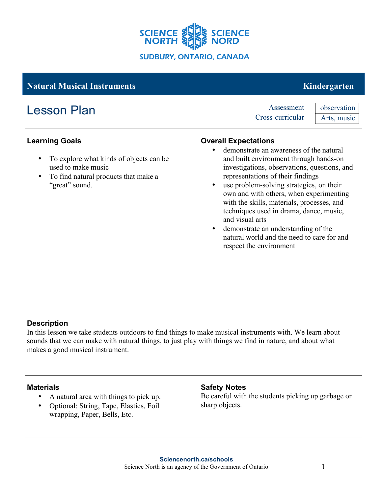

# **Learning Goals** • To explore what kinds of objects can be used to make music • To find natural products that make a "great" sound. **Overall Expectations** demonstrate an awareness of the natural and built environment through hands-on investigations, observations, questions, and representations of their findings use problem-solving strategies, on their own and with others, when experimenting with the skills, materials, processes, and techniques used in drama, dance, music, and visual arts • demonstrate an understanding of the natural world and the need to care for and respect the environment **Natural Musical Instruments** Kindergarten Lesson Plan Assessment Cross-curricular observation Arts, music

## **Description**

In this lesson we take students outdoors to find things to make musical instruments with. We learn about sounds that we can make with natural things, to just play with things we find in nature, and about what makes a good musical instrument.

#### **Materials**

- A natural area with things to pick up.
- Optional: String, Tape, Elastics, Foil wrapping, Paper, Bells, Etc.

## **Safety Notes**

Be careful with the students picking up garbage or sharp objects.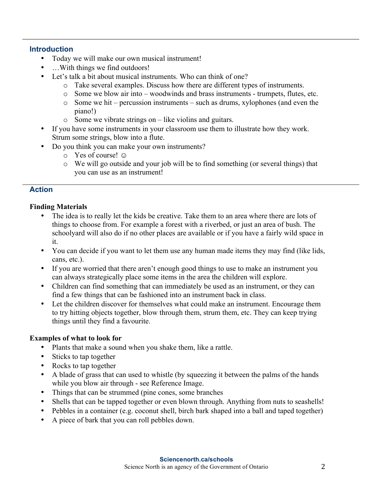#### **Introduction**

- Today we will make our own musical instrument!
- ... With things we find outdoors!
- Let's talk a bit about musical instruments. Who can think of one?
	- o Take several examples. Discuss how there are different types of instruments.
	- o Some we blow air into woodwinds and brass instruments trumpets, flutes, etc.
	- o Some we hit percussion instruments such as drums, xylophones (and even the piano!)
	- o Some we vibrate strings on like violins and guitars.
- If you have some instruments in your classroom use them to illustrate how they work. Strum some strings, blow into a flute.
- Do you think you can make your own instruments?
	- o Yes of course! ☺
	- o We will go outside and your job will be to find something (or several things) that you can use as an instrument!

## **Action**

#### **Finding Materials**

- The idea is to really let the kids be creative. Take them to an area where there are lots of things to choose from. For example a forest with a riverbed, or just an area of bush. The schoolyard will also do if no other places are available or if you have a fairly wild space in it.
- You can decide if you want to let them use any human made items they may find (like lids, cans, etc.).
- If you are worried that there aren't enough good things to use to make an instrument you can always strategically place some items in the area the children will explore.
- Children can find something that can immediately be used as an instrument, or they can find a few things that can be fashioned into an instrument back in class.
- Let the children discover for themselves what could make an instrument. Encourage them to try hitting objects together, blow through them, strum them, etc. They can keep trying things until they find a favourite.

## **Examples of what to look for**

- Plants that make a sound when you shake them, like a rattle.
- Sticks to tap together
- Rocks to tap together
- A blade of grass that can used to whistle (by squeezing it between the palms of the hands while you blow air through - see Reference Image.
- Things that can be strummed (pine cones, some branches
- Shells that can be tapped together or even blown through. Anything from nuts to seashells!
- Pebbles in a container (e.g. coconut shell, birch bark shaped into a ball and taped together)
- A piece of bark that you can roll pebbles down.